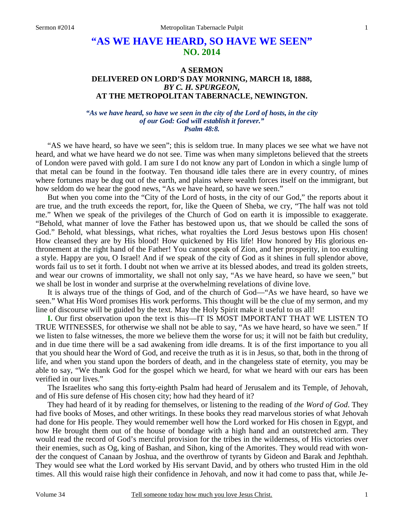# **"AS WE HAVE HEARD, SO HAVE WE SEEN" NO. 2014**

## **A SERMON DELIVERED ON LORD'S DAY MORNING, MARCH 18, 1888,**  *BY C. H. SPURGEON,*  **AT THE METROPOLITAN TABERNACLE, NEWINGTON.**

#### *"As we have heard, so have we seen in the city of the Lord of hosts, in the city of our God: God will establish it forever." Psalm 48:8.*

"AS we have heard, so have we seen"; this is seldom true. In many places we see what we have not heard, and what we have heard we do not see. Time was when many simpletons believed that the streets of London were paved with gold. I am sure I do not know any part of London in which a single lump of that metal can be found in the footway. Ten thousand idle tales there are in every country, of mines where fortunes may be dug out of the earth, and plains where wealth forces itself on the immigrant, but how seldom do we hear the good news, "As we have heard, so have we seen."

But when you come into the "City of the Lord of hosts, in the city of our God," the reports about it are true, and the truth exceeds the report, for, like the Queen of Sheba, we cry, "The half was not told me." When we speak of the privileges of the Church of God on earth it is impossible to exaggerate. "Behold, what manner of love the Father has bestowed upon us, that we should be called the sons of God." Behold, what blessings, what riches, what royalties the Lord Jesus bestows upon His chosen! How cleansed they are by His blood! How quickened by His life! How honored by His glorious enthronement at the right hand of the Father! You cannot speak of Zion, and her prosperity, in too exulting a style. Happy are you, O Israel! And if we speak of the city of God as it shines in full splendor above, words fail us to set it forth. I doubt not when we arrive at its blessed abodes, and tread its golden streets, and wear our crowns of immortality, we shall not only say, "As we have heard, so have we seen," but we shall be lost in wonder and surprise at the overwhelming revelations of divine love.

It is always true of the things of God, and of the church of God—"As we have heard, so have we seen." What His Word promises His work performs. This thought will be the clue of my sermon, and my line of discourse will be guided by the text. May the Holy Spirit make it useful to us all!

**I.** Our first observation upon the text is this—IT IS MOST IMPORTANT THAT WE LISTEN TO TRUE WITNESSES, for otherwise we shall not be able to say, "As we have heard, so have we seen." If we listen to false witnesses, the more we believe them the worse for us; it will not be faith but credulity, and in due time there will be a sad awakening from idle dreams. It is of the first importance to you all that you should hear the Word of God, and receive the truth as it is in Jesus, so that, both in the throng of life, and when you stand upon the borders of death, and in the changeless state of eternity, you may be able to say, "We thank God for the gospel which we heard, for what we heard with our ears has been verified in our lives."

The Israelites who sang this forty-eighth Psalm had heard of Jerusalem and its Temple, of Jehovah, and of His sure defense of His chosen city; how had they heard of it?

They had heard of it by reading for themselves, or listening to the reading of *the Word of God*. They had five books of Moses, and other writings. In these books they read marvelous stories of what Jehovah had done for His people. They would remember well how the Lord worked for His chosen in Egypt, and how He brought them out of the house of bondage with a high hand and an outstretched arm. They would read the record of God's merciful provision for the tribes in the wilderness, of His victories over their enemies, such as Og, king of Bashan, and Sihon, king of the Amorites. They would read with wonder the conquest of Canaan by Joshua, and the overthrow of tyrants by Gideon and Barak and Jephthah. They would see what the Lord worked by His servant David, and by others who trusted Him in the old times. All this would raise high their confidence in Jehovah, and now it had come to pass that, while Je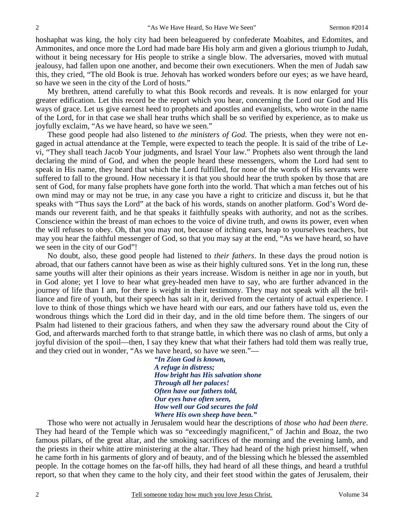hoshaphat was king, the holy city had been beleaguered by confederate Moabites, and Edomites, and Ammonites, and once more the Lord had made bare His holy arm and given a glorious triumph to Judah, without it being necessary for His people to strike a single blow. The adversaries, moved with mutual jealousy, had fallen upon one another, and become their own executioners. When the men of Judah saw this, they cried, "The old Book is true. Jehovah has worked wonders before our eyes; as we have heard, so have we seen in the city of the Lord of hosts."

My brethren, attend carefully to what this Book records and reveals. It is now enlarged for your greater edification. Let this record be the report which you hear, concerning the Lord our God and His ways of grace. Let us give earnest heed to prophets and apostles and evangelists, who wrote in the name of the Lord, for in that case we shall hear truths which shall be so verified by experience, as to make us joyfully exclaim, "As we have heard, so have we seen."

These good people had also listened to *the ministers of God*. The priests, when they were not engaged in actual attendance at the Temple, were expected to teach the people. It is said of the tribe of Levi, "They shall teach Jacob Your judgments, and Israel Your law." Prophets also went through the land declaring the mind of God, and when the people heard these messengers, whom the Lord had sent to speak in His name, they heard that which the Lord fulfilled, for none of the words of His servants were suffered to fall to the ground. How necessary it is that you should hear the truth spoken by those that are sent of God, for many false prophets have gone forth into the world. That which a man fetches out of his own mind may or may not be true, in any case you have a right to criticize and discuss it, but he that speaks with "Thus says the Lord" at the back of his words, stands on another platform. God's Word demands our reverent faith, and he that speaks it faithfully speaks with authority, and not as the scribes. Conscience within the breast of man echoes to the voice of divine truth, and owns its power, even when the will refuses to obey. Oh, that you may not, because of itching ears, heap to yourselves teachers, but may you hear the faithful messenger of God, so that you may say at the end, "As we have heard, so have we seen in the city of our God"!

No doubt, also, these good people had listened to *their fathers*. In these days the proud notion is abroad, that our fathers cannot have been as wise as their highly cultured sons. Yet in the long run, these same youths will alter their opinions as their years increase. Wisdom is neither in age nor in youth, but in God alone; yet I love to hear what grey-headed men have to say, who are further advanced in the journey of life than I am, for there is weight in their testimony. They may not speak with all the brilliance and fire of youth, but their speech has salt in it, derived from the certainty of actual experience. I love to think of those things which we have heard with our ears, and our fathers have told us, even the wondrous things which the Lord did in their day, and in the old time before them. The singers of our Psalm had listened to their gracious fathers, and when they saw the adversary round about the City of God, and afterwards marched forth to that strange battle, in which there was no clash of arms, but only a joyful division of the spoil—then, I say they knew that what their fathers had told them was really true, and they cried out in wonder, "As we have heard, so have we seen."—

> *"In Zion God is known, A refuge in distress; How bright has His salvation shone Through all her palaces! Often have our fathers told, Our eyes have often seen, How well our God secures the fold Where His own sheep have been."*

Those who were not actually in Jerusalem would hear the descriptions of *those who had been there*. They had heard of the Temple which was so "exceedingly magnificent," of Jachin and Boaz, the two famous pillars, of the great altar, and the smoking sacrifices of the morning and the evening lamb, and the priests in their white attire ministering at the altar. They had heard of the high priest himself, when he came forth in his garments of glory and of beauty, and of the blessing which he blessed the assembled people. In the cottage homes on the far-off hills, they had heard of all these things, and heard a truthful report, so that when they came to the holy city, and their feet stood within the gates of Jerusalem, their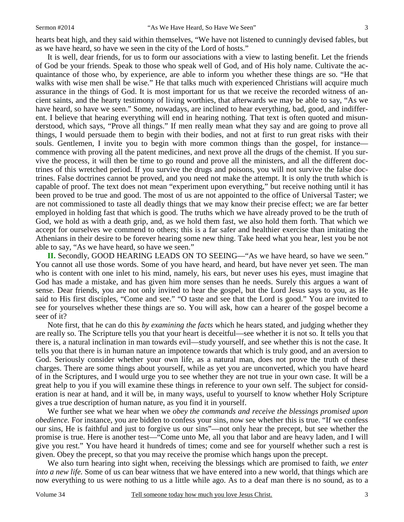hearts beat high, and they said within themselves, "We have not listened to cunningly devised fables, but as we have heard, so have we seen in the city of the Lord of hosts."

It is well, dear friends, for us to form our associations with a view to lasting benefit. Let the friends of God be your friends. Speak to those who speak well of God, and of His holy name. Cultivate the acquaintance of those who, by experience, are able to inform you whether these things are so. "He that walks with wise men shall be wise." He that talks much with experienced Christians will acquire much assurance in the things of God. It is most important for us that we receive the recorded witness of ancient saints, and the hearty testimony of living worthies, that afterwards we may be able to say, "As we have heard, so have we seen." Some, nowadays, are inclined to hear everything, bad, good, and indifferent. I believe that hearing everything will end in hearing nothing. That text is often quoted and misunderstood, which says, "Prove all things." If men really mean what they say and are going to prove all things, I would persuade them to begin with their bodies, and not at first to run great risks with their souls. Gentlemen, I invite you to begin with more common things than the gospel, for instance commence with proving all the patent medicines, and next prove all the drugs of the chemist. If you survive the process, it will then be time to go round and prove all the ministers, and all the different doctrines of this wretched period. If you survive the drugs and poisons, you will not survive the false doctrines. False doctrines cannot be proved, and you need not make the attempt. It is only the truth which is capable of proof. The text does not mean "experiment upon everything," but receive nothing until it has been proved to be true and good. The most of us are not appointed to the office of Universal Taster; we are not commissioned to taste all deadly things that we may know their precise effect; we are far better employed in holding fast that which is good. The truths which we have already proved to be the truth of God, we hold as with a death grip, and, as we hold them fast, we also hold them forth. That which we accept for ourselves we commend to others; this is a far safer and healthier exercise than imitating the Athenians in their desire to be forever hearing some new thing. Take heed what you hear, lest you be not able to say, "As we have heard, so have we seen."

**II.** Secondly, GOOD HEARING LEADS ON TO SEEING—"As we have heard, so have we seen." You cannot all use those words. Some of you have heard, and heard, but have never yet seen. The man who is content with one inlet to his mind, namely, his ears, but never uses his eyes, must imagine that God has made a mistake, and has given him more senses than he needs. Surely this argues a want of sense. Dear friends, you are not only invited to hear the gospel, but the Lord Jesus says to you, as He said to His first disciples, "Come and see." "O taste and see that the Lord is good." You are invited to see for yourselves whether these things are so. You will ask, how can a hearer of the gospel become a seer of it?

Note first, that he can do this *by examining the facts* which he hears stated, and judging whether they are really so. The Scripture tells you that your heart is deceitful—see whether it is not so. It tells you that there is, a natural inclination in man towards evil—study yourself, and see whether this is not the case. It tells you that there is in human nature an impotence towards that which is truly good, and an aversion to God. Seriously consider whether your own life, as a natural man, does not prove the truth of these charges. There are some things about yourself, while as yet you are unconverted, which you have heard of in the Scriptures, and I would urge you to see whether they are not true in your own case. It will be a great help to you if you will examine these things in reference to your own self. The subject for consideration is near at hand, and it will be, in many ways, useful to yourself to know whether Holy Scripture gives a true description of human nature, as you find it in yourself.

We further see what we hear when we *obey the commands and receive the blessings promised upon obedience.* For instance, you are bidden to confess your sins, now see whether this is true. "If we confess our sins, He is faithful and just to forgive us our sins"—not only hear the precept, but see whether the promise is true. Here is another test—"Come unto Me, all you that labor and are heavy laden, and I will give you rest." You have heard it hundreds of times; come and see for yourself whether such a rest is given. Obey the precept, so that you may receive the promise which hangs upon the precept.

We also turn hearing into sight when, receiving the blessings which are promised to faith, *we enter into a new life.* Some of us can bear witness that we have entered into a new world, that things which are now everything to us were nothing to us a little while ago. As to a deaf man there is no sound, as to a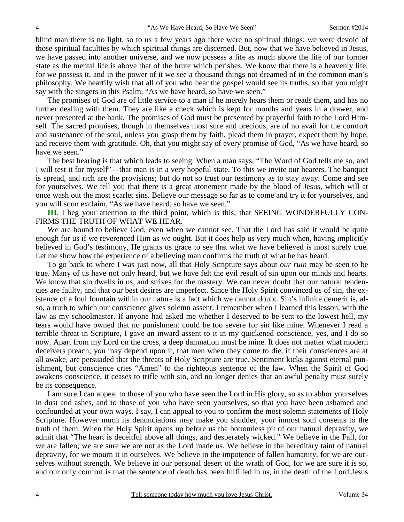blind man there is no light, so to us a few years ago there were no spiritual things; we were devoid of those spiritual faculties by which spiritual things are discerned. But, now that we have believed in Jesus, we have passed into another universe, and we now possess a life as much above the life of our former state as the mental life is above that of the brute which perishes. We know that there is a heavenly life, for we possess it, and in the power of it we see a thousand things not dreamed of in the common man's philosophy. We heartily wish that all of you who hear the gospel would see its truths, so that you might say with the singers in this Psalm, "As we have heard, so have we seen."

The promises of God are of little service to a man if he merely hears them or reads them, and has no further dealing with them. They are like a check which is kept for months and years in a drawer, and never presented at the bank. The promises of God must be presented by prayerful faith to the Lord Himself. The sacred promises, though in themselves most sure and precious, are of no avail for the comfort and sustenance of the soul, unless you grasp them by faith, plead them in prayer, expect them by hope, and receive them with gratitude. Oh, that you might say of every promise of God, "As we have heard, so have we seen."

The best hearing is that which leads to seeing. When a man says, "The Word of God tells me so, and I will test it for myself"—that man is in a very hopeful state. To this we invite our hearers. The banquet is spread, and rich are the provisions; but do not so trust our testimony as to stay away. Come and see for yourselves. We tell you that there is a great atonement made by the blood of Jesus, which will at once wash out the most scarlet sins. Believe our message so far as to come and try it for yourselves, and you will soon exclaim, "As we have heard, so have we seen."

**III.** I beg your attention to the third point, which is this; that SEEING WONDERFULLY CON-FIRMS THE TRUTH OF WHAT WE HEAR.

We are bound to believe God, even when we cannot see. That the Lord has said it would be quite enough for us if we reverenced Him as we ought. But it does help us very much when, having implicitly believed in God's testimony, He grants us grace to see that what we have believed is most surely true. Let me show how the experience of a believing man confirms the truth of what he has heard.

To go back to where I was just now, all that Holy Scripture says about *our ruin* may be seen to be true. Many of us have not only heard, but we have felt the evil result of sin upon our minds and hearts. We know that sin dwells in us, and strives for the mastery. We can never doubt that our natural tendencies are faulty, and that our best desires are imperfect. Since the Holy Spirit convinced us of sin, the existence of a foul fountain within our nature is a fact which we cannot doubt. Sin's infinite demerit is, also, a truth to which our conscience gives solemn assent. I remember when I learned this lesson, with the law as my schoolmaster. If anyone had asked me whether I deserved to be sent to the lowest hell, my tears would have owned that no punishment could be too severe for sin like mine. Whenever I read a terrible threat in Scripture, I gave an inward assent to it in my quickened conscience, yes, and I do so now. Apart from my Lord on the cross, a deep damnation must be mine. It does not matter what modern deceivers preach; you may depend upon it, that men when they come to die, if their consciences are at all awake, are persuaded that the threats of Holy Scripture are true. Sentiment kicks against eternal punishment, but conscience cries "Amen" to the righteous sentence of the law. When the Spirit of God awakens conscience, it ceases to trifle with sin, and no longer denies that an awful penalty must surely be its consequence.

I am sure I can appeal to those of you who have seen the Lord in His glory, so as to abhor yourselves in dust and ashes, and to those of you who have seen yourselves, so that you have been ashamed and confounded at your own ways. I say, I can appeal to you to confirm the most solemn statements of Holy Scripture. However much its denunciations may make you shudder, your inmost soul consents to the truth of them. When the Holy Spirit opens up before us the bottomless pit of our natural depravity, we admit that "The heart is deceitful above all things, and desperately wicked." We believe in the Fall, for we are fallen; we are sure we are not as the Lord made us. We believe in the hereditary taint of natural depravity, for we mourn it in ourselves. We believe in the impotence of fallen humanity, for we are ourselves without strength. We believe in our personal desert of the wrath of God, for we are sure it is so, and our only comfort is that the sentence of death has been fulfilled in us, in the death of the Lord Jesus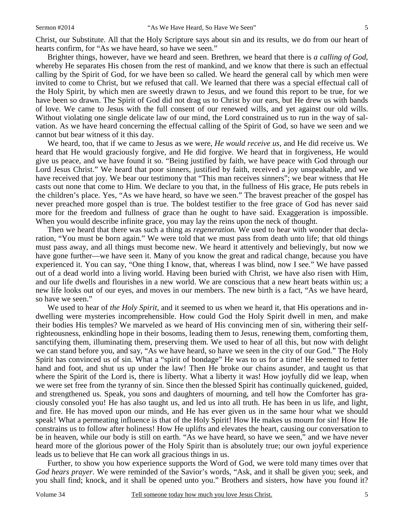Brighter things, however, have we heard and seen. Brethren, we heard that there is *a calling of God,* whereby He separates His chosen from the rest of mankind, and we know that there is such an effectual calling by the Spirit of God, for we have been so called. We heard the general call by which men were invited to come to Christ, but we refused that call. We learned that there was a special effectual call of the Holy Spirit, by which men are sweetly drawn to Jesus, and we found this report to be true, for we have been so drawn. The Spirit of God did not drag us to Christ by our ears, but He drew us with bands of love. We came to Jesus with the full consent of our renewed wills, and yet against our old wills. Without violating one single delicate law of our mind, the Lord constrained us to run in the way of salvation. As we have heard concerning the effectual calling of the Spirit of God, so have we seen and we cannot but bear witness of it this day.

We heard, too, that if we came to Jesus as we were, *He would receive us,* and He did receive us. We heard that He would graciously forgive, and He did forgive. We heard that in forgiveness, He would give us peace, and we have found it so. "Being justified by faith, we have peace with God through our Lord Jesus Christ." We heard that poor sinners, justified by faith, received a joy unspeakable, and we have received that joy. We bear our testimony that "This man receives sinners"; we bear witness that He casts out none that come to Him. We declare to you that, in the fullness of His grace, He puts rebels in the children's place. Yes, "As we have heard, so have we seen." The bravest preacher of the gospel has never preached more gospel than is true. The boldest testifier to the free grace of God has never said more for the freedom and fullness of grace than he ought to have said. Exaggeration is impossible. When you would describe infinite grace, you may lay the reins upon the neck of thought.

Then we heard that there was such a thing as *regeneration.* We used to hear with wonder that declaration, "You must be born again." We were told that we must pass from death unto life; that old things must pass away, and all things must become new. We heard it attentively and believingly, but now we have gone further—we have seen it. Many of you know the great and radical change, because you have experienced it. You can say, "One thing I know, that, whereas I was blind, now I see." We have passed out of a dead world into a living world. Having been buried with Christ, we have also risen with Him, and our life dwells and flourishes in a new world. We are conscious that a new heart beats within us; a new life looks out of our eyes, and moves in our members. The new birth is a fact, "As we have heard, so have we seen."

We used to hear of *the Holy Spirit,* and it seemed to us when we heard it, that His operations and indwelling were mysteries incomprehensible. How could God the Holy Spirit dwell in men, and make their bodies His temples? We marveled as we heard of His convincing men of sin, withering their selfrighteousness, enkindling hope in their bosoms, leading them to Jesus, renewing them, comforting them, sanctifying them, illuminating them, preserving them. We used to hear of all this, but now with delight we can stand before you, and say, "As we have heard, so have we seen in the city of our God." The Holy Spirit has convinced us of sin. What a "spirit of bondage" He was to us for a time! He seemed to fetter hand and foot, and shut us up under the law! Then He broke our chains asunder, and taught us that where the Spirit of the Lord is, there is liberty. What a liberty it was! How joyfully did we leap, when we were set free from the tyranny of sin. Since then the blessed Spirit has continually quickened, guided, and strengthened us. Speak, you sons and daughters of mourning, and tell how the Comforter has graciously consoled you! He has also taught us, and led us into all truth. He has been in us life, and light, and fire. He has moved upon our minds, and He has ever given us in the same hour what we should speak! What a permeating influence is that of the Holy Spirit! How He makes us mourn for sin! How He constrains us to follow after holiness! How He uplifts and elevates the heart, causing our conversation to be in heaven, while our body is still on earth. "As we have heard, so have we seen," and we have never heard more of the glorious power of the Holy Spirit than is absolutely true; our own joyful experience leads us to believe that He can work all gracious things in us.

Further, to show you how experience supports the Word of God, we were told many times over that *God hears prayer*. We were reminded of the Savior's words, "Ask, and it shall be given you; seek, and you shall find; knock, and it shall be opened unto you." Brothers and sisters, how have you found it?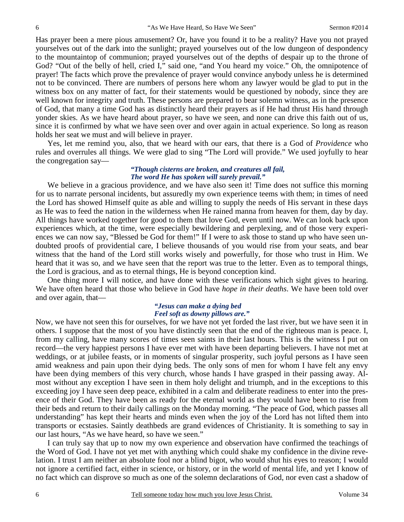Has prayer been a mere pious amusement? Or, have you found it to be a reality? Have you not prayed yourselves out of the dark into the sunlight; prayed yourselves out of the low dungeon of despondency to the mountaintop of communion; prayed yourselves out of the depths of despair up to the throne of God? "Out of the belly of hell, cried I," said one, "and You heard my voice." Oh, the omnipotence of prayer! The facts which prove the prevalence of prayer would convince anybody unless he is determined not to be convinced. There are numbers of persons here whom any lawyer would be glad to put in the witness box on any matter of fact, for their statements would be questioned by nobody, since they are well known for integrity and truth. These persons are prepared to bear solemn witness, as in the presence of God, that many a time God has as distinctly heard their prayers as if He had thrust His hand through yonder skies. As we have heard about prayer, so have we seen, and none can drive this faith out of us, since it is confirmed by what we have seen over and over again in actual experience. So long as reason holds her seat we must and will believe in prayer.

Yes, let me remind you, also, that we heard with our ears, that there is a God of *Providence* who rules and overrules all things. We were glad to sing "The Lord will provide." We used joyfully to hear the congregation say—

### *"Though cisterns are broken, and creatures all fail, The word He has spoken will surely prevail."*

We believe in a gracious providence, and we have also seen it! Time does not suffice this morning for us to narrate personal incidents, but assuredly my own experience teems with them; in times of need the Lord has showed Himself quite as able and willing to supply the needs of His servant in these days as He was to feed the nation in the wilderness when He rained manna from heaven for them, day by day. All things have worked together for good to them that love God, even until now. We can look back upon experiences which, at the time, were especially bewildering and perplexing, and of those very experiences we can now say, "Blessed be God for them!" If I were to ask those to stand up who have seen undoubted proofs of providential care, I believe thousands of you would rise from your seats, and bear witness that the hand of the Lord still works wisely and powerfully, for those who trust in Him. We heard that it was so, and we have seen that the report was true to the letter. Even as to temporal things, the Lord is gracious, and as to eternal things, He is beyond conception kind.

One thing more I will notice, and have done with these verifications which sight gives to hearing. We have often heard that those who believe in God have *hope in their deaths*. We have been told over and over again, that—

#### *"Jesus can make a dying bed Feel soft as downy pillows are."*

Now, we have not seen this for ourselves, for we have not yet forded the last river, but we have seen it in others. I suppose that the most of you have distinctly seen that the end of the righteous man is peace. I, from my calling, have many scores of times seen saints in their last hours. This is the witness I put on record—the very happiest persons I have ever met with have been departing believers. I have not met at weddings, or at jubilee feasts, or in moments of singular prosperity, such joyful persons as I have seen amid weakness and pain upon their dying beds. The only sons of men for whom I have felt any envy have been dying members of this very church, whose hands I have grasped in their passing away. Almost without any exception I have seen in them holy delight and triumph, and in the exceptions to this exceeding joy I have seen deep peace, exhibited in a calm and deliberate readiness to enter into the presence of their God. They have been as ready for the eternal world as they would have been to rise from their beds and return to their daily callings on the Monday morning. "The peace of God, which passes all understanding" has kept their hearts and minds even when the joy of the Lord has not lifted them into transports or ecstasies. Saintly deathbeds are grand evidences of Christianity. It is something to say in our last hours, "As we have heard, so have we seen."

I can truly say that up to now my own experience and observation have confirmed the teachings of the Word of God. I have not yet met with anything which could shake my confidence in the divine revelation. I trust I am neither an absolute fool nor a blind bigot, who would shut his eyes to reason; I would not ignore a certified fact, either in science, or history, or in the world of mental life, and yet I know of no fact which can disprove so much as one of the solemn declarations of God, nor even cast a shadow of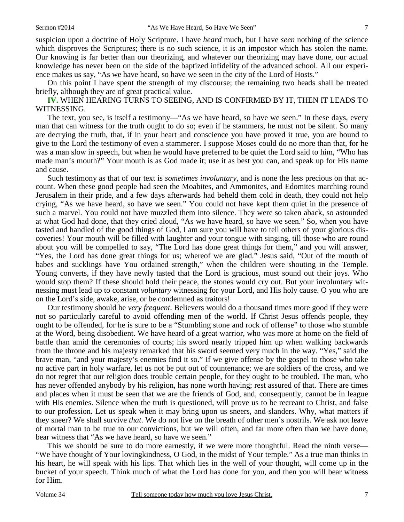suspicion upon a doctrine of Holy Scripture. I have *heard* much, but I have *seen* nothing of the science which disproves the Scriptures; there is no such science, it is an impostor which has stolen the name. Our knowing is far better than our theorizing, and whatever our theorizing may have done, our actual knowledge has never been on the side of the baptized infidelity of the advanced school. All our experience makes us say, "As we have heard, so have we seen in the city of the Lord of Hosts."

On this point I have spent the strength of my discourse; the remaining two heads shall be treated briefly, although they are of great practical value.

**IV.** WHEN HEARING TURNS TO SEEING, AND IS CONFIRMED BY IT, THEN IT LEADS TO WITNESSING.

The text, you see, is itself a testimony—"As we have heard, so have we seen." In these days, every man that can witness for the truth ought to do so; even if he stammers, he must not be silent. So many are decrying the truth, that, if in your heart and conscience you have proved it true, you are bound to give to the Lord the testimony of even a stammerer. I suppose Moses could do no more than that, for he was a man slow in speech, but when he would have preferred to be quiet the Lord said to him, "Who has made man's mouth?" Your mouth is as God made it; use it as best you can, and speak up for His name and cause.

Such testimony as that of our text is *sometimes involuntary,* and is none the less precious on that account. When these good people had seen the Moabites, and Ammonites, and Edomites marching round Jerusalem in their pride, and a few days afterwards had beheld them cold in death, they could not help crying, "As we have heard, so have we seen." You could not have kept them quiet in the presence of such a marvel. You could not have muzzled them into silence. They were so taken aback, so astounded at what God had done, that they cried aloud, "As we have heard, so have we seen." So, when you have tasted and handled of the good things of God, I am sure you will have to tell others of your glorious discoveries! Your mouth will be filled with laughter and your tongue with singing, till those who are round about you will be compelled to say, "The Lord has done great things for them," and you will answer, "Yes, the Lord has done great things for us; whereof we are glad." Jesus said, "Out of the mouth of babes and sucklings have You ordained strength," when the children were shouting in the Temple. Young converts, if they have newly tasted that the Lord is gracious, must sound out their joys. Who would stop them? If these should hold their peace, the stones would cry out. But your involuntary witnessing must lead up to constant *voluntary* witnessing for your Lord, and His holy cause. O you who are on the Lord's side, awake, arise, or be condemned as traitors!

Our testimony should be *very frequent*. Believers would do a thousand times more good if they were not so particularly careful to avoid offending men of the world. If Christ Jesus offends people, they ought to be offended, for he is sure to be a "Stumbling stone and rock of offense" to those who stumble at the Word, being disobedient. We have heard of a great warrior, who was more at home on the field of battle than amid the ceremonies of courts; his sword nearly tripped him up when walking backwards from the throne and his majesty remarked that his sword seemed very much in the way. "Yes," said the brave man, "and your majesty's enemies find it so." If we give offense by the gospel to those who take no active part in holy warfare, let us not be put out of countenance; we are soldiers of the cross, and we do not regret that our religion does trouble certain people, for they ought to be troubled. The man, who has never offended anybody by his religion, has none worth having; rest assured of that. There are times and places when it must be seen that we are the friends of God, and, consequently, cannot be in league with His enemies. Silence when the truth is questioned, will prove us to be recreant to Christ, and false to our profession. Let us speak when it may bring upon us sneers, and slanders. Why, what matters if they sneer? We shall survive *that*. We do not live on the breath of other men's nostrils. We ask not leave of mortal man to be true to our convictions, but we will often, and far more often than we have done, bear witness that "As we have heard, so have we seen."

This we should be sure to do more earnestly, if we were more thoughtful. Read the ninth verse— "We have thought of Your lovingkindness, O God, in the midst of Your temple." As a true man thinks in his heart, he will speak with his lips. That which lies in the well of your thought, will come up in the bucket of your speech. Think much of what the Lord has done for you, and then you will bear witness for Him.